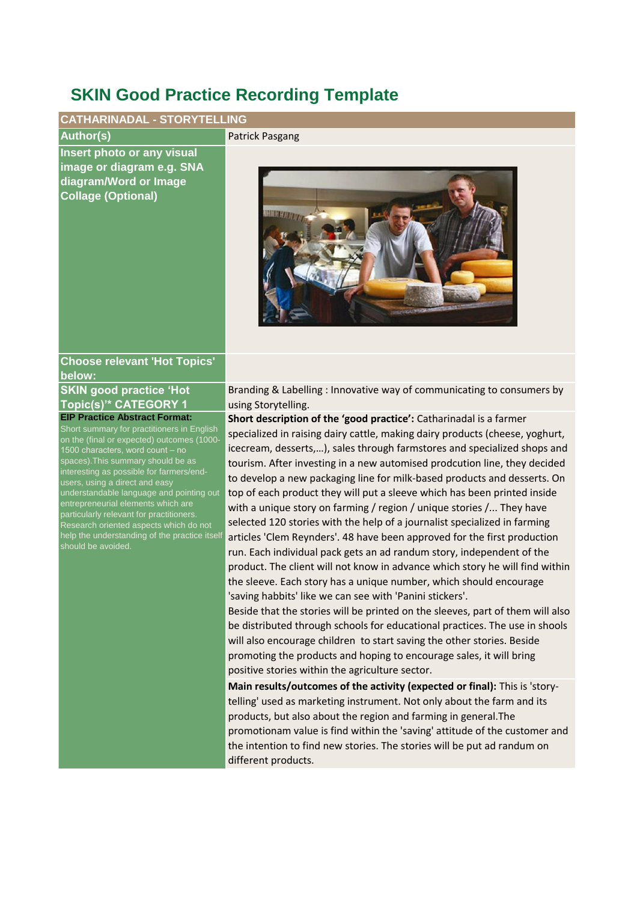# **SKIN Good Practice Recording Template**

## **CATHARINADAL - STORYTELLING**

**Insert photo or any visual image or diagram e.g. SNA diagram/Word or Image Collage (Optional)**

#### **Author(s) Patrick Pasgang**



### **Choose relevant 'Hot Topics' below: SKIN good practice 'Hot Topic(s)'\* CATEGORY 1**

**EIP Practice Abstract Format:**

Short summary for practitioners in English on the (final or expected) outcomes (1000- 1500 characters, word count – no spaces).This summary should be as nteresting as possible for farmers/endusers, using a direct and easy understandable language and pointing out entrepreneurial elements which are particularly relevant for practitioners. Research oriented aspects which do not help the understanding of the practice itself should be avoided.

Branding & Labelling : Innovative way of communicating to consumers by using Storytelling.

**Short description of the 'good practice':** Catharinadal is a farmer specialized in raising dairy cattle, making dairy products (cheese, yoghurt, icecream, desserts,…), sales through farmstores and specialized shops and tourism. After investing in a new automised prodcution line, they decided to develop a new packaging line for milk-based products and desserts. On top of each product they will put a sleeve which has been printed inside with a unique story on farming / region / unique stories /... They have selected 120 stories with the help of a journalist specialized in farming articles 'Clem Reynders'. 48 have been approved for the first production run. Each individual pack gets an ad randum story, independent of the product. The client will not know in advance which story he will find within the sleeve. Each story has a unique number, which should encourage 'saving habbits' like we can see with 'Panini stickers'.

Beside that the stories will be printed on the sleeves, part of them will also be distributed through schools for educational practices. The use in shools will also encourage children to start saving the other stories. Beside promoting the products and hoping to encourage sales, it will bring positive stories within the agriculture sector.

**Main results/outcomes of the activity (expected or final):** This is 'storytelling' used as marketing instrument. Not only about the farm and its products, but also about the region and farming in general.The promotionam value is find within the 'saving' attitude of the customer and the intention to find new stories. The stories will be put ad randum on different products.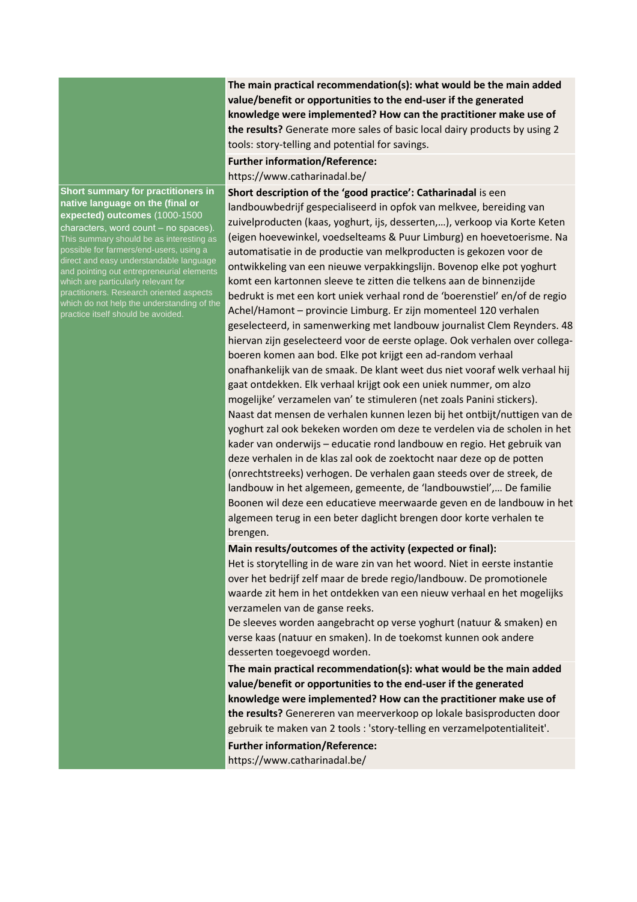**The main practical recommendation(s): what would be the main added value/benefit or opportunities to the end-user if the generated knowledge were implemented? How can the practitioner make use of the results?** Generate more sales of basic local dairy products by using 2 tools: story-telling and potential for savings.

**Further information/Reference:**

https://www.catharinadal.be/

**Short summary for practitioners in native language on the (final or expected) outcomes** (1000-1500 characters, word count – no spaces). This summary should be as interesting as possible for farmers/end-users, using a direct and easy understandable language and pointing out entrepreneurial elements which are particularly relevant for practitioners. Research oriented aspects which do not help the understanding of the practice itself should be avoided.

**Short description of the 'good practice': Catharinadal** is een landbouwbedrijf gespecialiseerd in opfok van melkvee, bereiding van zuivelproducten (kaas, yoghurt, ijs, desserten,…), verkoop via Korte Keten (eigen hoevewinkel, voedselteams & Puur Limburg) en hoevetoerisme. Na automatisatie in de productie van melkproducten is gekozen voor de ontwikkeling van een nieuwe verpakkingslijn. Bovenop elke pot yoghurt komt een kartonnen sleeve te zitten die telkens aan de binnenzijde bedrukt is met een kort uniek verhaal rond de 'boerenstiel' en/of de regio Achel/Hamont – provincie Limburg. Er zijn momenteel 120 verhalen geselecteerd, in samenwerking met landbouw journalist Clem Reynders. 48 hiervan zijn geselecteerd voor de eerste oplage. Ook verhalen over collegaboeren komen aan bod. Elke pot krijgt een ad-random verhaal onafhankelijk van de smaak. De klant weet dus niet vooraf welk verhaal hij gaat ontdekken. Elk verhaal krijgt ook een uniek nummer, om alzo mogelijke' verzamelen van' te stimuleren (net zoals Panini stickers). Naast dat mensen de verhalen kunnen lezen bij het ontbijt/nuttigen van de yoghurt zal ook bekeken worden om deze te verdelen via de scholen in het kader van onderwijs – educatie rond landbouw en regio. Het gebruik van deze verhalen in de klas zal ook de zoektocht naar deze op de potten (onrechtstreeks) verhogen. De verhalen gaan steeds over de streek, de landbouw in het algemeen, gemeente, de 'landbouwstiel',… De familie Boonen wil deze een educatieve meerwaarde geven en de landbouw in het algemeen terug in een beter daglicht brengen door korte verhalen te brengen.

#### **Main results/outcomes of the activity (expected or final):**

Het is storytelling in de ware zin van het woord. Niet in eerste instantie over het bedrijf zelf maar de brede regio/landbouw. De promotionele waarde zit hem in het ontdekken van een nieuw verhaal en het mogelijks verzamelen van de ganse reeks.

De sleeves worden aangebracht op verse yoghurt (natuur & smaken) en verse kaas (natuur en smaken). In de toekomst kunnen ook andere desserten toegevoegd worden.

**The main practical recommendation(s): what would be the main added value/benefit or opportunities to the end-user if the generated knowledge were implemented? How can the practitioner make use of the results?** Genereren van meerverkoop op lokale basisproducten door gebruik te maken van 2 tools : 'story-telling en verzamelpotentialiteit'.

**Further information/Reference:**

https://www.catharinadal.be/